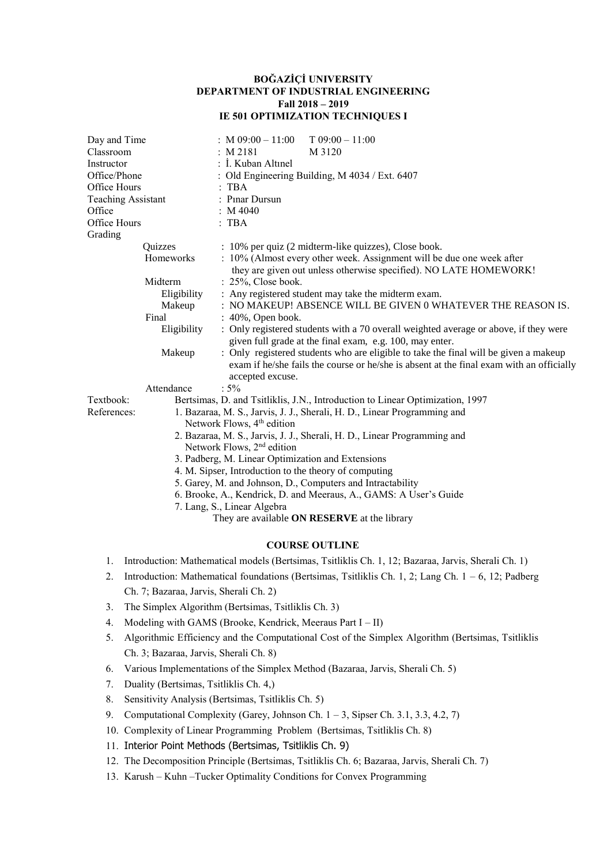## **BOĞAZİÇİ UNIVERSITY DEPARTMENT OF INDUSTRIAL ENGINEERING Fall 2018 – 2019 IE 501 OPTIMIZATION TECHNIQUES I**

| Day and Time<br>Classroom<br>Instructor<br>Office/Phone<br>Office Hours<br><b>Teaching Assistant</b><br>Office<br>Office Hours<br>Grading |                                                                                                                                                                                                                                                       | : $M$ 09:00 - 11:00<br>$T 09:00 - 11:00$<br>: M 2181<br>M 3120<br>: İ. Kuban Altınel<br>: Old Engineering Building, M 4034 / Ext. 6407<br>$:$ TBA<br>: Pinar Dursun<br>: M4040<br>$:$ TBA                                                                                                                                                                                                                                                                                                                                                                                                                                                                                                                    |  |  |  |  |
|-------------------------------------------------------------------------------------------------------------------------------------------|-------------------------------------------------------------------------------------------------------------------------------------------------------------------------------------------------------------------------------------------------------|--------------------------------------------------------------------------------------------------------------------------------------------------------------------------------------------------------------------------------------------------------------------------------------------------------------------------------------------------------------------------------------------------------------------------------------------------------------------------------------------------------------------------------------------------------------------------------------------------------------------------------------------------------------------------------------------------------------|--|--|--|--|
|                                                                                                                                           | Quizzes<br>Homeworks<br>Midterm<br>Eligibility<br>Makeup<br>Final<br>Eligibility<br>Makeup                                                                                                                                                            | : 10% per quiz (2 midterm-like quizzes), Close book.<br>: 10% (Almost every other week. Assignment will be due one week after<br>they are given out unless otherwise specified). NO LATE HOMEWORK!<br>: 25%, Close book.<br>: Any registered student may take the midterm exam.<br>: NO MAKEUP! ABSENCE WILL BE GIVEN 0 WHATEVER THE REASON IS.<br>: 40%, Open book.<br>: Only registered students with a 70 overall weighted average or above, if they were<br>given full grade at the final exam, e.g. 100, may enter.<br>: Only registered students who are eligible to take the final will be given a makeup<br>exam if he/she fails the course or he/she is absent at the final exam with an officially |  |  |  |  |
| Textbook:<br>References:                                                                                                                  | Attendance                                                                                                                                                                                                                                            | accepted excuse.<br>$: 5\%$<br>Bertsimas, D. and Tsitliklis, J.N., Introduction to Linear Optimization, 1997<br>1. Bazaraa, M. S., Jarvis, J. J., Sherali, H. D., Linear Programming and<br>Network Flows, 4 <sup>th</sup> edition<br>2. Bazaraa, M. S., Jarvis, J. J., Sherali, H. D., Linear Programming and<br>Network Flows, 2 <sup>nd</sup> edition<br>3. Padberg, M. Linear Optimization and Extensions<br>4. M. Sipser, Introduction to the theory of computing<br>5. Garey, M. and Johnson, D., Computers and Intractability<br>6. Brooke, A., Kendrick, D. and Meeraus, A., GAMS: A User's Guide<br>7. Lang, S., Linear Algebra<br>They are available ON RESERVE at the library                     |  |  |  |  |
|                                                                                                                                           |                                                                                                                                                                                                                                                       | <b>COURSE OUTLINE</b>                                                                                                                                                                                                                                                                                                                                                                                                                                                                                                                                                                                                                                                                                        |  |  |  |  |
| 1.<br>2.                                                                                                                                  | Introduction: Mathematical models (Bertsimas, Tsitliklis Ch. 1, 12; Bazaraa, Jarvis, Sherali Ch. 1)<br>Introduction: Mathematical foundations (Bertsimas, Tsitliklis Ch. 1, 2; Lang Ch. $1-6$ , 12; Padberg<br>Ch. 7; Bazaraa, Jarvis, Sherali Ch. 2) |                                                                                                                                                                                                                                                                                                                                                                                                                                                                                                                                                                                                                                                                                                              |  |  |  |  |
| 3.                                                                                                                                        | The Simplex Algorithm (Bertsimas, Tsitliklis Ch. 3)                                                                                                                                                                                                   |                                                                                                                                                                                                                                                                                                                                                                                                                                                                                                                                                                                                                                                                                                              |  |  |  |  |
| 4.                                                                                                                                        | Modeling with GAMS (Brooke, Kendrick, Meeraus Part I - II)                                                                                                                                                                                            |                                                                                                                                                                                                                                                                                                                                                                                                                                                                                                                                                                                                                                                                                                              |  |  |  |  |
| 5.                                                                                                                                        | Algorithmic Efficiency and the Computational Cost of the Simplex Algorithm (Bertsimas, Tsitliklis                                                                                                                                                     |                                                                                                                                                                                                                                                                                                                                                                                                                                                                                                                                                                                                                                                                                                              |  |  |  |  |
|                                                                                                                                           | Ch. 3; Bazaraa, Jarvis, Sherali Ch. 8)                                                                                                                                                                                                                |                                                                                                                                                                                                                                                                                                                                                                                                                                                                                                                                                                                                                                                                                                              |  |  |  |  |
| 6.                                                                                                                                        | Various Implementations of the Simplex Method (Bazaraa, Jarvis, Sherali Ch. 5)                                                                                                                                                                        |                                                                                                                                                                                                                                                                                                                                                                                                                                                                                                                                                                                                                                                                                                              |  |  |  |  |
| 7.                                                                                                                                        | Duality (Bertsimas, Tsitliklis Ch. 4,)                                                                                                                                                                                                                |                                                                                                                                                                                                                                                                                                                                                                                                                                                                                                                                                                                                                                                                                                              |  |  |  |  |

- 8. Sensitivity Analysis (Bertsimas, Tsitliklis Ch. 5)
- 9. Computational Complexity (Garey, Johnson Ch. 1 3, Sipser Ch. 3.1, 3.3, 4.2, 7)
- 10. Complexity of Linear Programming Problem (Bertsimas, Tsitliklis Ch. 8)
- 11. Interior Point Methods (Bertsimas, Tsitliklis Ch. 9)
- 12. The Decomposition Principle (Bertsimas, Tsitliklis Ch. 6; Bazaraa, Jarvis, Sherali Ch. 7)
- 13. Karush Kuhn –Tucker Optimality Conditions for Convex Programming